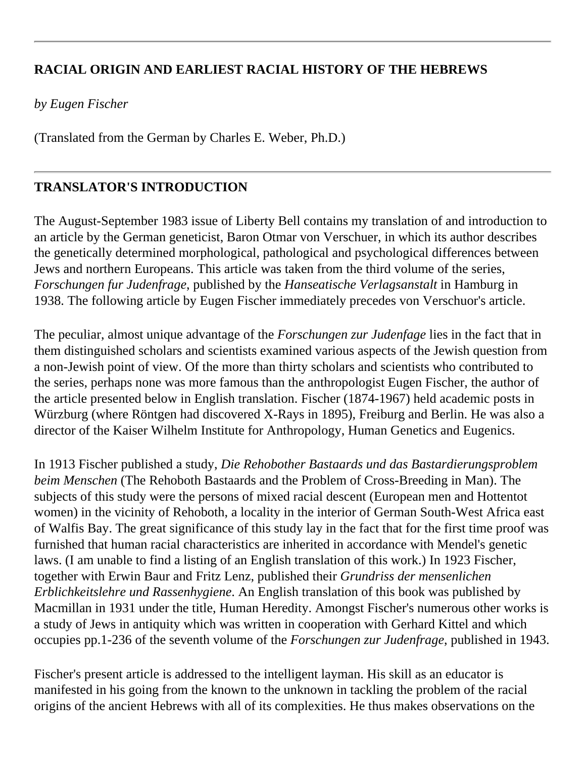## **RACIAL ORIGIN AND EARLIEST RACIAL HISTORY OF THE HEBREWS**

*by Eugen Fischer*

(Translated from the German by Charles E. Weber, Ph.D.)

## **TRANSLATOR'S INTRODUCTION**

The August-September 1983 issue of Liberty Bell contains my translation of and introduction to an article by the German geneticist, Baron Otmar von Verschuer, in which its author describes the genetically determined morphological, pathological and psychological differences between Jews and northern Europeans. This article was taken from the third volume of the series, *Forschungen fur Judenfrage*, published by the *Hanseatische Verlagsanstalt* in Hamburg in 1938. The following article by Eugen Fischer immediately precedes von Verschuor's article.

The peculiar, almost unique advantage of the *Forschungen zur Judenfage* lies in the fact that in them distinguished scholars and scientists examined various aspects of the Jewish question from a non-Jewish point of view. Of the more than thirty scholars and scientists who contributed to the series, perhaps none was more famous than the anthropologist Eugen Fischer, the author of the article presented below in English translation. Fischer (1874-1967) held academic posts in Würzburg (where Röntgen had discovered X-Rays in 1895), Freiburg and Berlin. He was also a director of the Kaiser Wilhelm Institute for Anthropology, Human Genetics and Eugenics.

In 1913 Fischer published a study, *Die Rehobother Bastaards und das Bastardierungsproblem beim Menschen* (The Rehoboth Bastaards and the Problem of Cross-Breeding in Man). The subjects of this study were the persons of mixed racial descent (European men and Hottentot women) in the vicinity of Rehoboth, a locality in the interior of German South-West Africa east of Walfis Bay. The great significance of this study lay in the fact that for the first time proof was furnished that human racial characteristics are inherited in accordance with Mendel's genetic laws. (I am unable to find a listing of an English translation of this work.) In 1923 Fischer, together with Erwin Baur and Fritz Lenz, published their *Grundriss der mensenlichen Erblichkeitslehre und Rassenhygiene*. An English translation of this book was published by Macmillan in 1931 under the title, Human Heredity. Amongst Fischer's numerous other works is a study of Jews in antiquity which was written in cooperation with Gerhard Kittel and which occupies pp.1-236 of the seventh volume of the *Forschungen zur Judenfrage*, published in 1943.

Fischer's present article is addressed to the intelligent layman. His skill as an educator is manifested in his going from the known to the unknown in tackling the problem of the racial origins of the ancient Hebrews with all of its complexities. He thus makes observations on the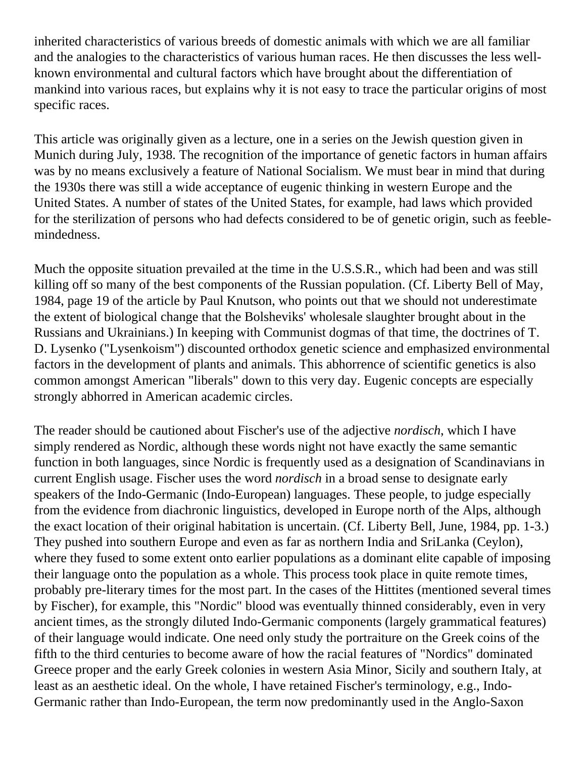inherited characteristics of various breeds of domestic animals with which we are all familiar and the analogies to the characteristics of various human races. He then discusses the less wellknown environmental and cultural factors which have brought about the differentiation of mankind into various races, but explains why it is not easy to trace the particular origins of most specific races.

This article was originally given as a lecture, one in a series on the Jewish question given in Munich during July, 1938. The recognition of the importance of genetic factors in human affairs was by no means exclusively a feature of National Socialism. We must bear in mind that during the 1930s there was still a wide acceptance of eugenic thinking in western Europe and the United States. A number of states of the United States, for example, had laws which provided for the sterilization of persons who had defects considered to be of genetic origin, such as feeblemindedness.

Much the opposite situation prevailed at the time in the U.S.S.R., which had been and was still killing off so many of the best components of the Russian population. (Cf. Liberty Bell of May, 1984, page 19 of the article by Paul Knutson, who points out that we should not underestimate the extent of biological change that the Bolsheviks' wholesale slaughter brought about in the Russians and Ukrainians.) In keeping with Communist dogmas of that time, the doctrines of T. D. Lysenko ("Lysenkoism") discounted orthodox genetic science and emphasized environmental factors in the development of plants and animals. This abhorrence of scientific genetics is also common amongst American "liberals" down to this very day. Eugenic concepts are especially strongly abhorred in American academic circles.

The reader should be cautioned about Fischer's use of the adjective *nordisch*, which I have simply rendered as Nordic, although these words night not have exactly the same semantic function in both languages, since Nordic is frequently used as a designation of Scandinavians in current English usage. Fischer uses the word *nordisch* in a broad sense to designate early speakers of the Indo-Germanic (Indo-European) languages. These people, to judge especially from the evidence from diachronic linguistics, developed in Europe north of the Alps, although the exact location of their original habitation is uncertain. (Cf. Liberty Bell, June, 1984, pp. 1-3.) They pushed into southern Europe and even as far as northern India and SriLanka (Ceylon), where they fused to some extent onto earlier populations as a dominant elite capable of imposing their language onto the population as a whole. This process took place in quite remote times, probably pre-literary times for the most part. In the cases of the Hittites (mentioned several times by Fischer), for example, this "Nordic" blood was eventually thinned considerably, even in very ancient times, as the strongly diluted Indo-Germanic components (largely grammatical features) of their language would indicate. One need only study the portraiture on the Greek coins of the fifth to the third centuries to become aware of how the racial features of "Nordics" dominated Greece proper and the early Greek colonies in western Asia Minor, Sicily and southern Italy, at least as an aesthetic ideal. On the whole, I have retained Fischer's terminology, e.g., Indo-Germanic rather than Indo-European, the term now predominantly used in the Anglo-Saxon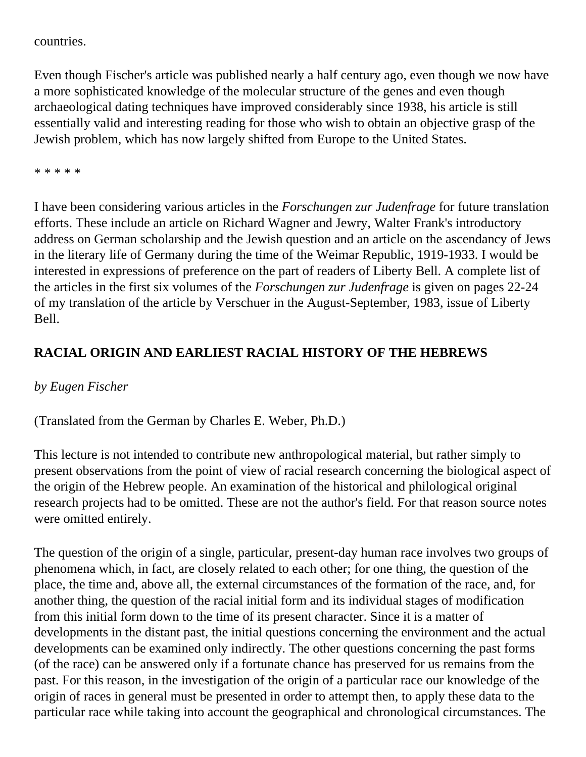countries.

Even though Fischer's article was published nearly a half century ago, even though we now have a more sophisticated knowledge of the molecular structure of the genes and even though archaeological dating techniques have improved considerably since 1938, his article is still essentially valid and interesting reading for those who wish to obtain an objective grasp of the Jewish problem, which has now largely shifted from Europe to the United States.

\* \* \* \* \*

I have been considering various articles in the *Forschungen zur Judenfrage* for future translation efforts. These include an article on Richard Wagner and Jewry, Walter Frank's introductory address on German scholarship and the Jewish question and an article on the ascendancy of Jews in the literary life of Germany during the time of the Weimar Republic, 1919-1933. I would be interested in expressions of preference on the part of readers of Liberty Bell. A complete list of the articles in the first six volumes of the *Forschungen zur Judenfrage* is given on pages 22-24 of my translation of the article by Verschuer in the August-September, 1983, issue of Liberty Bell.

## **RACIAL ORIGIN AND EARLIEST RACIAL HISTORY OF THE HEBREWS**

## *by Eugen Fischer*

(Translated from the German by Charles E. Weber, Ph.D.)

This lecture is not intended to contribute new anthropological material, but rather simply to present observations from the point of view of racial research concerning the biological aspect of the origin of the Hebrew people. An examination of the historical and philological original research projects had to be omitted. These are not the author's field. For that reason source notes were omitted entirely.

The question of the origin of a single, particular, present-day human race involves two groups of phenomena which, in fact, are closely related to each other; for one thing, the question of the place, the time and, above all, the external circumstances of the formation of the race, and, for another thing, the question of the racial initial form and its individual stages of modification from this initial form down to the time of its present character. Since it is a matter of developments in the distant past, the initial questions concerning the environment and the actual developments can be examined only indirectly. The other questions concerning the past forms (of the race) can be answered only if a fortunate chance has preserved for us remains from the past. For this reason, in the investigation of the origin of a particular race our knowledge of the origin of races in general must be presented in order to attempt then, to apply these data to the particular race while taking into account the geographical and chronological circumstances. The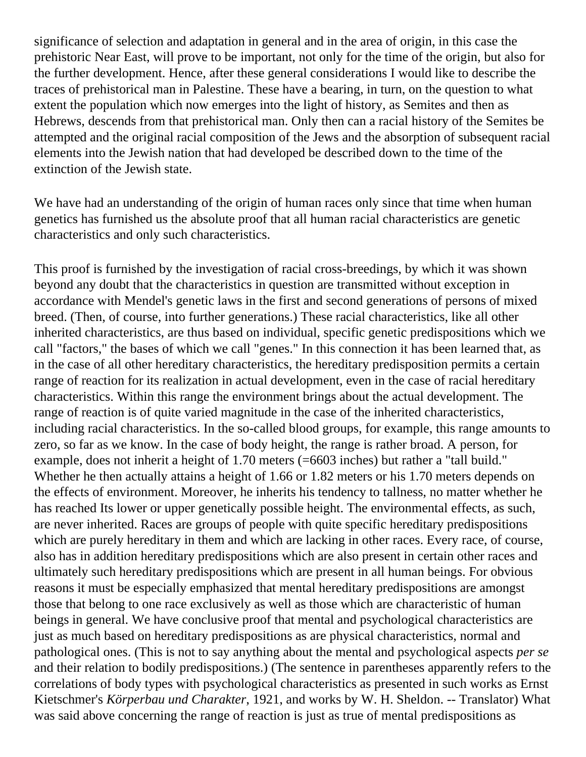significance of selection and adaptation in general and in the area of origin, in this case the prehistoric Near East, will prove to be important, not only for the time of the origin, but also for the further development. Hence, after these general considerations I would like to describe the traces of prehistorical man in Palestine. These have a bearing, in turn, on the question to what extent the population which now emerges into the light of history, as Semites and then as Hebrews, descends from that prehistorical man. Only then can a racial history of the Semites be attempted and the original racial composition of the Jews and the absorption of subsequent racial elements into the Jewish nation that had developed be described down to the time of the extinction of the Jewish state.

We have had an understanding of the origin of human races only since that time when human genetics has furnished us the absolute proof that all human racial characteristics are genetic characteristics and only such characteristics.

This proof is furnished by the investigation of racial cross-breedings, by which it was shown beyond any doubt that the characteristics in question are transmitted without exception in accordance with Mendel's genetic laws in the first and second generations of persons of mixed breed. (Then, of course, into further generations.) These racial characteristics, like all other inherited characteristics, are thus based on individual, specific genetic predispositions which we call "factors," the bases of which we call "genes." In this connection it has been learned that, as in the case of all other hereditary characteristics, the hereditary predisposition permits a certain range of reaction for its realization in actual development, even in the case of racial hereditary characteristics. Within this range the environment brings about the actual development. The range of reaction is of quite varied magnitude in the case of the inherited characteristics, including racial characteristics. In the so-called blood groups, for example, this range amounts to zero, so far as we know. In the case of body height, the range is rather broad. A person, for example, does not inherit a height of 1.70 meters (=6603 inches) but rather a "tall build." Whether he then actually attains a height of 1.66 or 1.82 meters or his 1.70 meters depends on the effects of environment. Moreover, he inherits his tendency to tallness, no matter whether he has reached Its lower or upper genetically possible height. The environmental effects, as such, are never inherited. Races are groups of people with quite specific hereditary predispositions which are purely hereditary in them and which are lacking in other races. Every race, of course, also has in addition hereditary predispositions which are also present in certain other races and ultimately such hereditary predispositions which are present in all human beings. For obvious reasons it must be especially emphasized that mental hereditary predispositions are amongst those that belong to one race exclusively as well as those which are characteristic of human beings in general. We have conclusive proof that mental and psychological characteristics are just as much based on hereditary predispositions as are physical characteristics, normal and pathological ones. (This is not to say anything about the mental and psychological aspects *per se* and their relation to bodily predispositions.) (The sentence in parentheses apparently refers to the correlations of body types with psychological characteristics as presented in such works as Ernst Kietschmer's *Körperbau und Charakter*, 1921, and works by W. H. Sheldon. -- Translator) What was said above concerning the range of reaction is just as true of mental predispositions as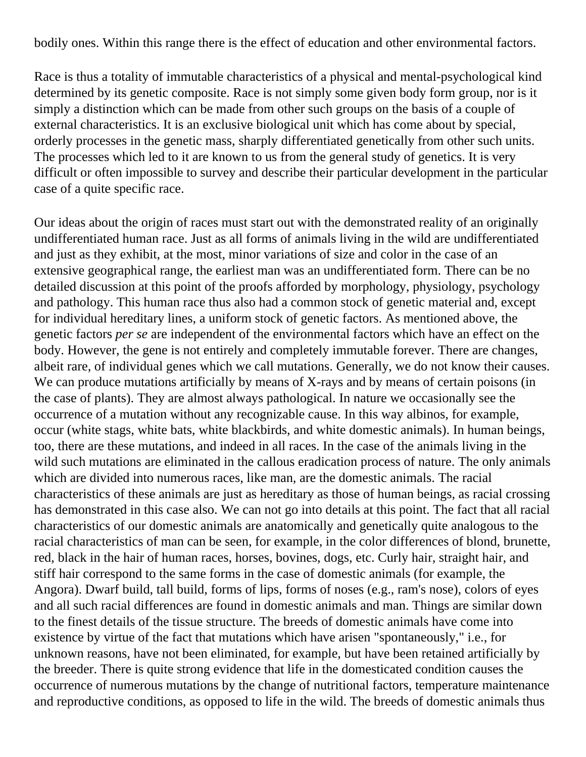bodily ones. Within this range there is the effect of education and other environmental factors.

Race is thus a totality of immutable characteristics of a physical and mental-psychological kind determined by its genetic composite. Race is not simply some given body form group, nor is it simply a distinction which can be made from other such groups on the basis of a couple of external characteristics. It is an exclusive biological unit which has come about by special, orderly processes in the genetic mass, sharply differentiated genetically from other such units. The processes which led to it are known to us from the general study of genetics. It is very difficult or often impossible to survey and describe their particular development in the particular case of a quite specific race.

Our ideas about the origin of races must start out with the demonstrated reality of an originally undifferentiated human race. Just as all forms of animals living in the wild are undifferentiated and just as they exhibit, at the most, minor variations of size and color in the case of an extensive geographical range, the earliest man was an undifferentiated form. There can be no detailed discussion at this point of the proofs afforded by morphology, physiology, psychology and pathology. This human race thus also had a common stock of genetic material and, except for individual hereditary lines, a uniform stock of genetic factors. As mentioned above, the genetic factors *per se* are independent of the environmental factors which have an effect on the body. However, the gene is not entirely and completely immutable forever. There are changes, albeit rare, of individual genes which we call mutations. Generally, we do not know their causes. We can produce mutations artificially by means of X-rays and by means of certain poisons (in the case of plants). They are almost always pathological. In nature we occasionally see the occurrence of a mutation without any recognizable cause. In this way albinos, for example, occur (white stags, white bats, white blackbirds, and white domestic animals). In human beings, too, there are these mutations, and indeed in all races. In the case of the animals living in the wild such mutations are eliminated in the callous eradication process of nature. The only animals which are divided into numerous races, like man, are the domestic animals. The racial characteristics of these animals are just as hereditary as those of human beings, as racial crossing has demonstrated in this case also. We can not go into details at this point. The fact that all racial characteristics of our domestic animals are anatomically and genetically quite analogous to the racial characteristics of man can be seen, for example, in the color differences of blond, brunette, red, black in the hair of human races, horses, bovines, dogs, etc. Curly hair, straight hair, and stiff hair correspond to the same forms in the case of domestic animals (for example, the Angora). Dwarf build, tall build, forms of lips, forms of noses (e.g., ram's nose), colors of eyes and all such racial differences are found in domestic animals and man. Things are similar down to the finest details of the tissue structure. The breeds of domestic animals have come into existence by virtue of the fact that mutations which have arisen "spontaneously," i.e., for unknown reasons, have not been eliminated, for example, but have been retained artificially by the breeder. There is quite strong evidence that life in the domesticated condition causes the occurrence of numerous mutations by the change of nutritional factors, temperature maintenance and reproductive conditions, as opposed to life in the wild. The breeds of domestic animals thus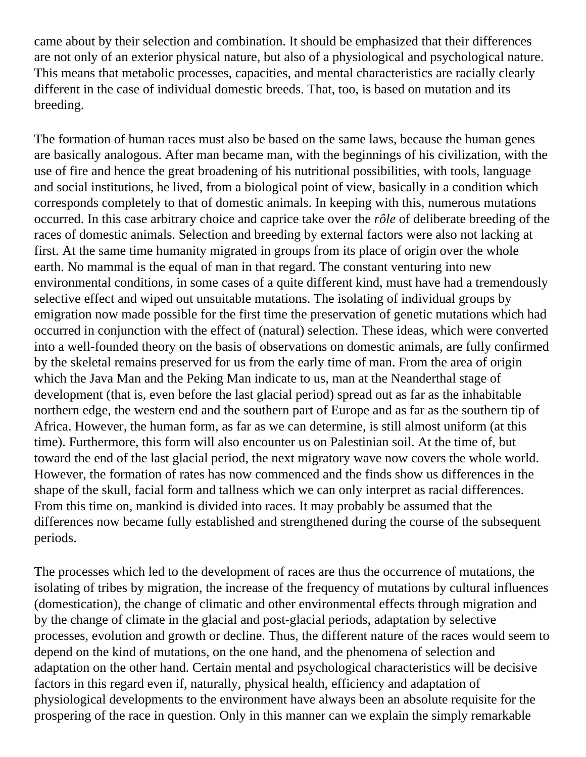came about by their selection and combination. It should be emphasized that their differences are not only of an exterior physical nature, but also of a physiological and psychological nature. This means that metabolic processes, capacities, and mental characteristics are racially clearly different in the case of individual domestic breeds. That, too, is based on mutation and its breeding.

The formation of human races must also be based on the same laws, because the human genes are basically analogous. After man became man, with the beginnings of his civilization, with the use of fire and hence the great broadening of his nutritional possibilities, with tools, language and social institutions, he lived, from a biological point of view, basically in a condition which corresponds completely to that of domestic animals. In keeping with this, numerous mutations occurred. In this case arbitrary choice and caprice take over the *rôle* of deliberate breeding of the races of domestic animals. Selection and breeding by external factors were also not lacking at first. At the same time humanity migrated in groups from its place of origin over the whole earth. No mammal is the equal of man in that regard. The constant venturing into new environmental conditions, in some cases of a quite different kind, must have had a tremendously selective effect and wiped out unsuitable mutations. The isolating of individual groups by emigration now made possible for the first time the preservation of genetic mutations which had occurred in conjunction with the effect of (natural) selection. These ideas, which were converted into a well-founded theory on the basis of observations on domestic animals, are fully confirmed by the skeletal remains preserved for us from the early time of man. From the area of origin which the Java Man and the Peking Man indicate to us, man at the Neanderthal stage of development (that is, even before the last glacial period) spread out as far as the inhabitable northern edge, the western end and the southern part of Europe and as far as the southern tip of Africa. However, the human form, as far as we can determine, is still almost uniform (at this time). Furthermore, this form will also encounter us on Palestinian soil. At the time of, but toward the end of the last glacial period, the next migratory wave now covers the whole world. However, the formation of rates has now commenced and the finds show us differences in the shape of the skull, facial form and tallness which we can only interpret as racial differences. From this time on, mankind is divided into races. It may probably be assumed that the differences now became fully established and strengthened during the course of the subsequent periods.

The processes which led to the development of races are thus the occurrence of mutations, the isolating of tribes by migration, the increase of the frequency of mutations by cultural influences (domestication), the change of climatic and other environmental effects through migration and by the change of climate in the glacial and post-glacial periods, adaptation by selective processes, evolution and growth or decline. Thus, the different nature of the races would seem to depend on the kind of mutations, on the one hand, and the phenomena of selection and adaptation on the other hand. Certain mental and psychological characteristics will be decisive factors in this regard even if, naturally, physical health, efficiency and adaptation of physiological developments to the environment have always been an absolute requisite for the prospering of the race in question. Only in this manner can we explain the simply remarkable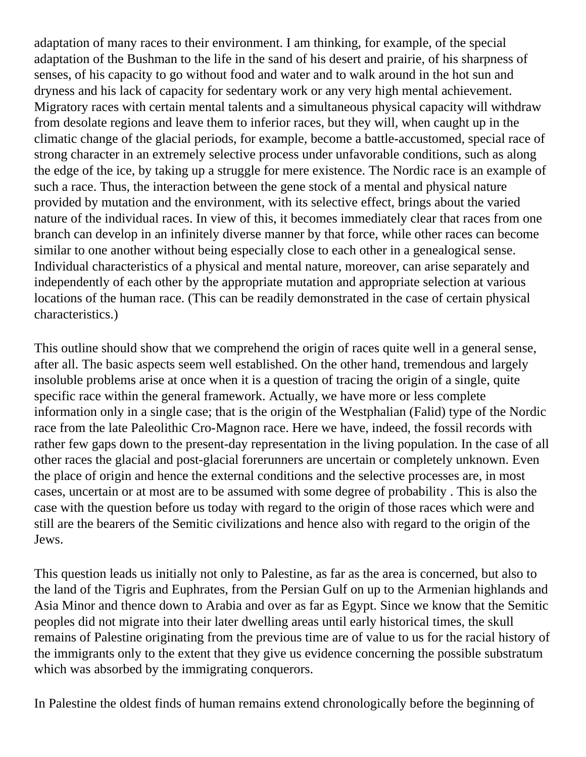adaptation of many races to their environment. I am thinking, for example, of the special adaptation of the Bushman to the life in the sand of his desert and prairie, of his sharpness of senses, of his capacity to go without food and water and to walk around in the hot sun and dryness and his lack of capacity for sedentary work or any very high mental achievement. Migratory races with certain mental talents and a simultaneous physical capacity will withdraw from desolate regions and leave them to inferior races, but they will, when caught up in the climatic change of the glacial periods, for example, become a battle-accustomed, special race of strong character in an extremely selective process under unfavorable conditions, such as along the edge of the ice, by taking up a struggle for mere existence. The Nordic race is an example of such a race. Thus, the interaction between the gene stock of a mental and physical nature provided by mutation and the environment, with its selective effect, brings about the varied nature of the individual races. In view of this, it becomes immediately clear that races from one branch can develop in an infinitely diverse manner by that force, while other races can become similar to one another without being especially close to each other in a genealogical sense. Individual characteristics of a physical and mental nature, moreover, can arise separately and independently of each other by the appropriate mutation and appropriate selection at various locations of the human race. (This can be readily demonstrated in the case of certain physical characteristics.)

This outline should show that we comprehend the origin of races quite well in a general sense, after all. The basic aspects seem well established. On the other hand, tremendous and largely insoluble problems arise at once when it is a question of tracing the origin of a single, quite specific race within the general framework. Actually, we have more or less complete information only in a single case; that is the origin of the Westphalian (Falid) type of the Nordic race from the late Paleolithic Cro-Magnon race. Here we have, indeed, the fossil records with rather few gaps down to the present-day representation in the living population. In the case of all other races the glacial and post-glacial forerunners are uncertain or completely unknown. Even the place of origin and hence the external conditions and the selective processes are, in most cases, uncertain or at most are to be assumed with some degree of probability . This is also the case with the question before us today with regard to the origin of those races which were and still are the bearers of the Semitic civilizations and hence also with regard to the origin of the Jews.

This question leads us initially not only to Palestine, as far as the area is concerned, but also to the land of the Tigris and Euphrates, from the Persian Gulf on up to the Armenian highlands and Asia Minor and thence down to Arabia and over as far as Egypt. Since we know that the Semitic peoples did not migrate into their later dwelling areas until early historical times, the skull remains of Palestine originating from the previous time are of value to us for the racial history of the immigrants only to the extent that they give us evidence concerning the possible substratum which was absorbed by the immigrating conquerors.

In Palestine the oldest finds of human remains extend chronologically before the beginning of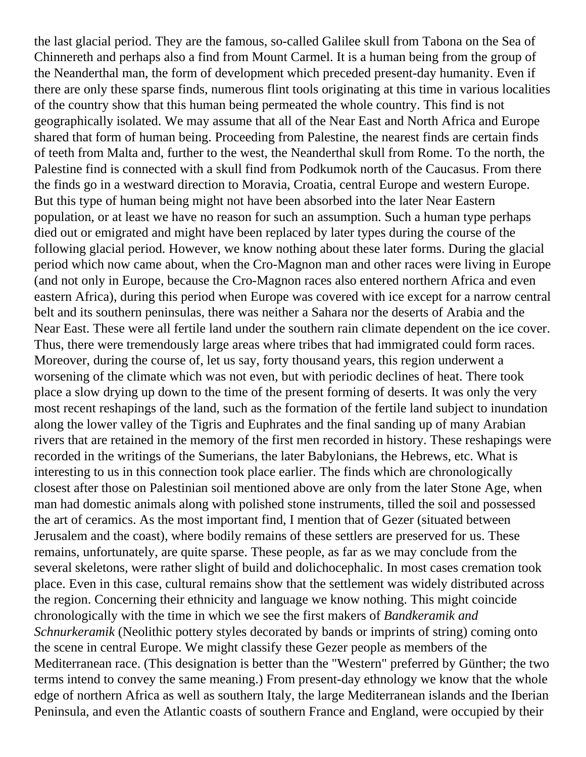the last glacial period. They are the famous, so-called Galilee skull from Tabona on the Sea of Chinnereth and perhaps also a find from Mount Carmel. It is a human being from the group of the Neanderthal man, the form of development which preceded present-day humanity. Even if there are only these sparse finds, numerous flint tools originating at this time in various localities of the country show that this human being permeated the whole country. This find is not geographically isolated. We may assume that all of the Near East and North Africa and Europe shared that form of human being. Proceeding from Palestine, the nearest finds are certain finds of teeth from Malta and, further to the west, the Neanderthal skull from Rome. To the north, the Palestine find is connected with a skull find from Podkumok north of the Caucasus. From there the finds go in a westward direction to Moravia, Croatia, central Europe and western Europe. But this type of human being might not have been absorbed into the later Near Eastern population, or at least we have no reason for such an assumption. Such a human type perhaps died out or emigrated and might have been replaced by later types during the course of the following glacial period. However, we know nothing about these later forms. During the glacial period which now came about, when the Cro-Magnon man and other races were living in Europe (and not only in Europe, because the Cro-Magnon races also entered northern Africa and even eastern Africa), during this period when Europe was covered with ice except for a narrow central belt and its southern peninsulas, there was neither a Sahara nor the deserts of Arabia and the Near East. These were all fertile land under the southern rain climate dependent on the ice cover. Thus, there were tremendously large areas where tribes that had immigrated could form races. Moreover, during the course of, let us say, forty thousand years, this region underwent a worsening of the climate which was not even, but with periodic declines of heat. There took place a slow drying up down to the time of the present forming of deserts. It was only the very most recent reshapings of the land, such as the formation of the fertile land subject to inundation along the lower valley of the Tigris and Euphrates and the final sanding up of many Arabian rivers that are retained in the memory of the first men recorded in history. These reshapings were recorded in the writings of the Sumerians, the later Babylonians, the Hebrews, etc. What is interesting to us in this connection took place earlier. The finds which are chronologically closest after those on Palestinian soil mentioned above are only from the later Stone Age, when man had domestic animals along with polished stone instruments, tilled the soil and possessed the art of ceramics. As the most important find, I mention that of Gezer (situated between Jerusalem and the coast), where bodily remains of these settlers are preserved for us. These remains, unfortunately, are quite sparse. These people, as far as we may conclude from the several skeletons, were rather slight of build and dolichocephalic. In most cases cremation took place. Even in this case, cultural remains show that the settlement was widely distributed across the region. Concerning their ethnicity and language we know nothing. This might coincide chronologically with the time in which we see the first makers of *Bandkeramik and Schnurkeramik* (Neolithic pottery styles decorated by bands or imprints of string) coming onto the scene in central Europe. We might classify these Gezer people as members of the Mediterranean race. (This designation is better than the "Western" preferred by Günther; the two terms intend to convey the same meaning.) From present-day ethnology we know that the whole edge of northern Africa as well as southern Italy, the large Mediterranean islands and the Iberian Peninsula, and even the Atlantic coasts of southern France and England, were occupied by their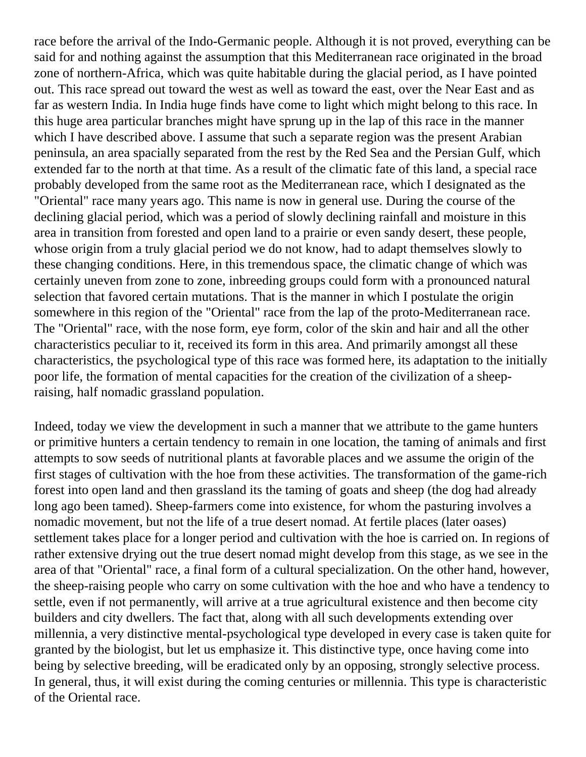race before the arrival of the Indo-Germanic people. Although it is not proved, everything can be said for and nothing against the assumption that this Mediterranean race originated in the broad zone of northern-Africa, which was quite habitable during the glacial period, as I have pointed out. This race spread out toward the west as well as toward the east, over the Near East and as far as western India. In India huge finds have come to light which might belong to this race. In this huge area particular branches might have sprung up in the lap of this race in the manner which I have described above. I assume that such a separate region was the present Arabian peninsula, an area spacially separated from the rest by the Red Sea and the Persian Gulf, which extended far to the north at that time. As a result of the climatic fate of this land, a special race probably developed from the same root as the Mediterranean race, which I designated as the "Oriental" race many years ago. This name is now in general use. During the course of the declining glacial period, which was a period of slowly declining rainfall and moisture in this area in transition from forested and open land to a prairie or even sandy desert, these people, whose origin from a truly glacial period we do not know, had to adapt themselves slowly to these changing conditions. Here, in this tremendous space, the climatic change of which was certainly uneven from zone to zone, inbreeding groups could form with a pronounced natural selection that favored certain mutations. That is the manner in which I postulate the origin somewhere in this region of the "Oriental" race from the lap of the proto-Mediterranean race. The "Oriental" race, with the nose form, eye form, color of the skin and hair and all the other characteristics peculiar to it, received its form in this area. And primarily amongst all these characteristics, the psychological type of this race was formed here, its adaptation to the initially poor life, the formation of mental capacities for the creation of the civilization of a sheepraising, half nomadic grassland population.

Indeed, today we view the development in such a manner that we attribute to the game hunters or primitive hunters a certain tendency to remain in one location, the taming of animals and first attempts to sow seeds of nutritional plants at favorable places and we assume the origin of the first stages of cultivation with the hoe from these activities. The transformation of the game-rich forest into open land and then grassland its the taming of goats and sheep (the dog had already long ago been tamed). Sheep-farmers come into existence, for whom the pasturing involves a nomadic movement, but not the life of a true desert nomad. At fertile places (later oases) settlement takes place for a longer period and cultivation with the hoe is carried on. In regions of rather extensive drying out the true desert nomad might develop from this stage, as we see in the area of that "Oriental" race, a final form of a cultural specialization. On the other hand, however, the sheep-raising people who carry on some cultivation with the hoe and who have a tendency to settle, even if not permanently, will arrive at a true agricultural existence and then become city builders and city dwellers. The fact that, along with all such developments extending over millennia, a very distinctive mental-psychological type developed in every case is taken quite for granted by the biologist, but let us emphasize it. This distinctive type, once having come into being by selective breeding, will be eradicated only by an opposing, strongly selective process. In general, thus, it will exist during the coming centuries or millennia. This type is characteristic of the Oriental race.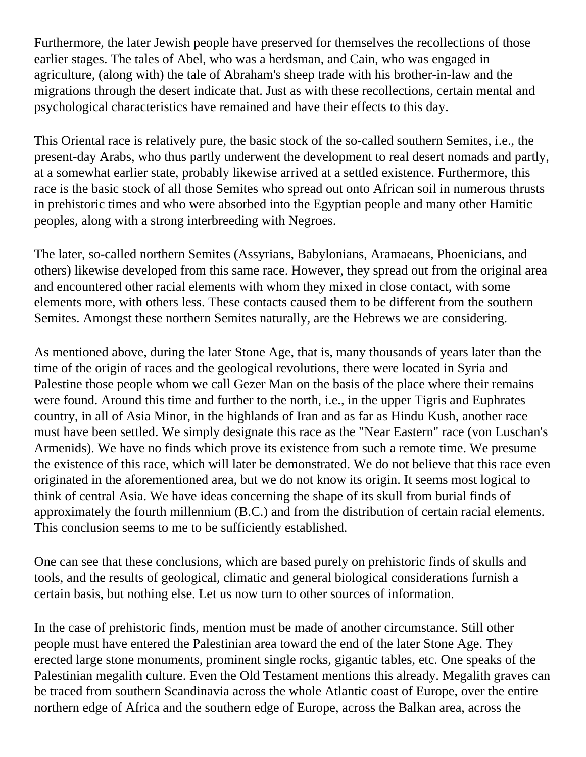Furthermore, the later Jewish people have preserved for themselves the recollections of those earlier stages. The tales of Abel, who was a herdsman, and Cain, who was engaged in agriculture, (along with) the tale of Abraham's sheep trade with his brother-in-law and the migrations through the desert indicate that. Just as with these recollections, certain mental and psychological characteristics have remained and have their effects to this day.

This Oriental race is relatively pure, the basic stock of the so-called southern Semites, i.e., the present-day Arabs, who thus partly underwent the development to real desert nomads and partly, at a somewhat earlier state, probably likewise arrived at a settled existence. Furthermore, this race is the basic stock of all those Semites who spread out onto African soil in numerous thrusts in prehistoric times and who were absorbed into the Egyptian people and many other Hamitic peoples, along with a strong interbreeding with Negroes.

The later, so-called northern Semites (Assyrians, Babylonians, Aramaeans, Phoenicians, and others) likewise developed from this same race. However, they spread out from the original area and encountered other racial elements with whom they mixed in close contact, with some elements more, with others less. These contacts caused them to be different from the southern Semites. Amongst these northern Semites naturally, are the Hebrews we are considering.

As mentioned above, during the later Stone Age, that is, many thousands of years later than the time of the origin of races and the geological revolutions, there were located in Syria and Palestine those people whom we call Gezer Man on the basis of the place where their remains were found. Around this time and further to the north, i.e., in the upper Tigris and Euphrates country, in all of Asia Minor, in the highlands of Iran and as far as Hindu Kush, another race must have been settled. We simply designate this race as the "Near Eastern" race (von Luschan's Armenids). We have no finds which prove its existence from such a remote time. We presume the existence of this race, which will later be demonstrated. We do not believe that this race even originated in the aforementioned area, but we do not know its origin. It seems most logical to think of central Asia. We have ideas concerning the shape of its skull from burial finds of approximately the fourth millennium (B.C.) and from the distribution of certain racial elements. This conclusion seems to me to be sufficiently established.

One can see that these conclusions, which are based purely on prehistoric finds of skulls and tools, and the results of geological, climatic and general biological considerations furnish a certain basis, but nothing else. Let us now turn to other sources of information.

In the case of prehistoric finds, mention must be made of another circumstance. Still other people must have entered the Palestinian area toward the end of the later Stone Age. They erected large stone monuments, prominent single rocks, gigantic tables, etc. One speaks of the Palestinian megalith culture. Even the Old Testament mentions this already. Megalith graves can be traced from southern Scandinavia across the whole Atlantic coast of Europe, over the entire northern edge of Africa and the southern edge of Europe, across the Balkan area, across the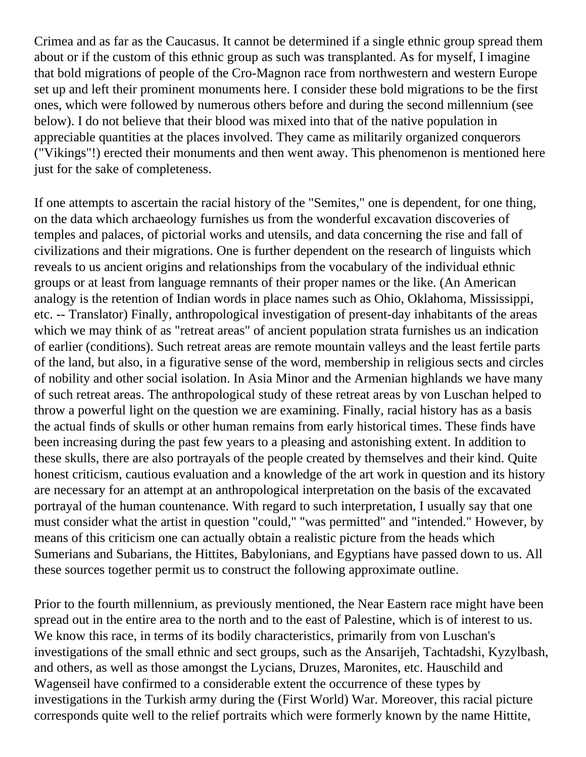Crimea and as far as the Caucasus. It cannot be determined if a single ethnic group spread them about or if the custom of this ethnic group as such was transplanted. As for myself, I imagine that bold migrations of people of the Cro-Magnon race from northwestern and western Europe set up and left their prominent monuments here. I consider these bold migrations to be the first ones, which were followed by numerous others before and during the second millennium (see below). I do not believe that their blood was mixed into that of the native population in appreciable quantities at the places involved. They came as militarily organized conquerors ("Vikings"!) erected their monuments and then went away. This phenomenon is mentioned here just for the sake of completeness.

If one attempts to ascertain the racial history of the "Semites," one is dependent, for one thing, on the data which archaeology furnishes us from the wonderful excavation discoveries of temples and palaces, of pictorial works and utensils, and data concerning the rise and fall of civilizations and their migrations. One is further dependent on the research of linguists which reveals to us ancient origins and relationships from the vocabulary of the individual ethnic groups or at least from language remnants of their proper names or the like. (An American analogy is the retention of Indian words in place names such as Ohio, Oklahoma, Mississippi, etc. -- Translator) Finally, anthropological investigation of present-day inhabitants of the areas which we may think of as "retreat areas" of ancient population strata furnishes us an indication of earlier (conditions). Such retreat areas are remote mountain valleys and the least fertile parts of the land, but also, in a figurative sense of the word, membership in religious sects and circles of nobility and other social isolation. In Asia Minor and the Armenian highlands we have many of such retreat areas. The anthropological study of these retreat areas by von Luschan helped to throw a powerful light on the question we are examining. Finally, racial history has as a basis the actual finds of skulls or other human remains from early historical times. These finds have been increasing during the past few years to a pleasing and astonishing extent. In addition to these skulls, there are also portrayals of the people created by themselves and their kind. Quite honest criticism, cautious evaluation and a knowledge of the art work in question and its history are necessary for an attempt at an anthropological interpretation on the basis of the excavated portrayal of the human countenance. With regard to such interpretation, I usually say that one must consider what the artist in question "could," "was permitted" and "intended." However, by means of this criticism one can actually obtain a realistic picture from the heads which Sumerians and Subarians, the Hittites, Babylonians, and Egyptians have passed down to us. All these sources together permit us to construct the following approximate outline.

Prior to the fourth millennium, as previously mentioned, the Near Eastern race might have been spread out in the entire area to the north and to the east of Palestine, which is of interest to us. We know this race, in terms of its bodily characteristics, primarily from von Luschan's investigations of the small ethnic and sect groups, such as the Ansarijeh, Tachtadshi, Kyzylbash, and others, as well as those amongst the Lycians, Druzes, Maronites, etc. Hauschild and Wagenseil have confirmed to a considerable extent the occurrence of these types by investigations in the Turkish army during the (First World) War. Moreover, this racial picture corresponds quite well to the relief portraits which were formerly known by the name Hittite,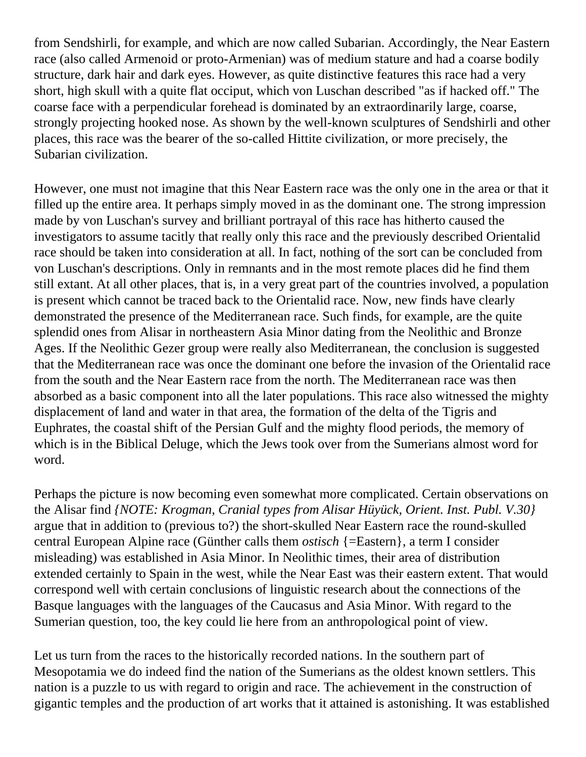from Sendshirli, for example, and which are now called Subarian. Accordingly, the Near Eastern race (also called Armenoid or proto-Armenian) was of medium stature and had a coarse bodily structure, dark hair and dark eyes. However, as quite distinctive features this race had a very short, high skull with a quite flat occiput, which von Luschan described "as if hacked off." The coarse face with a perpendicular forehead is dominated by an extraordinarily large, coarse, strongly projecting hooked nose. As shown by the well-known sculptures of Sendshirli and other places, this race was the bearer of the so-called Hittite civilization, or more precisely, the Subarian civilization.

However, one must not imagine that this Near Eastern race was the only one in the area or that it filled up the entire area. It perhaps simply moved in as the dominant one. The strong impression made by von Luschan's survey and brilliant portrayal of this race has hitherto caused the investigators to assume tacitly that really only this race and the previously described Orientalid race should be taken into consideration at all. In fact, nothing of the sort can be concluded from von Luschan's descriptions. Only in remnants and in the most remote places did he find them still extant. At all other places, that is, in a very great part of the countries involved, a population is present which cannot be traced back to the Orientalid race. Now, new finds have clearly demonstrated the presence of the Mediterranean race. Such finds, for example, are the quite splendid ones from Alisar in northeastern Asia Minor dating from the Neolithic and Bronze Ages. If the Neolithic Gezer group were really also Mediterranean, the conclusion is suggested that the Mediterranean race was once the dominant one before the invasion of the Orientalid race from the south and the Near Eastern race from the north. The Mediterranean race was then absorbed as a basic component into all the later populations. This race also witnessed the mighty displacement of land and water in that area, the formation of the delta of the Tigris and Euphrates, the coastal shift of the Persian Gulf and the mighty flood periods, the memory of which is in the Biblical Deluge, which the Jews took over from the Sumerians almost word for word.

Perhaps the picture is now becoming even somewhat more complicated. Certain observations on the Alisar find *{NOTE: Krogman, Cranial types from Alisar Hüyück, Orient. Inst. Publ. V.30}* argue that in addition to (previous to?) the short-skulled Near Eastern race the round-skulled central European Alpine race (Günther calls them *ostisch* {=Eastern}, a term I consider misleading) was established in Asia Minor. In Neolithic times, their area of distribution extended certainly to Spain in the west, while the Near East was their eastern extent. That would correspond well with certain conclusions of linguistic research about the connections of the Basque languages with the languages of the Caucasus and Asia Minor. With regard to the Sumerian question, too, the key could lie here from an anthropological point of view.

Let us turn from the races to the historically recorded nations. In the southern part of Mesopotamia we do indeed find the nation of the Sumerians as the oldest known settlers. This nation is a puzzle to us with regard to origin and race. The achievement in the construction of gigantic temples and the production of art works that it attained is astonishing. It was established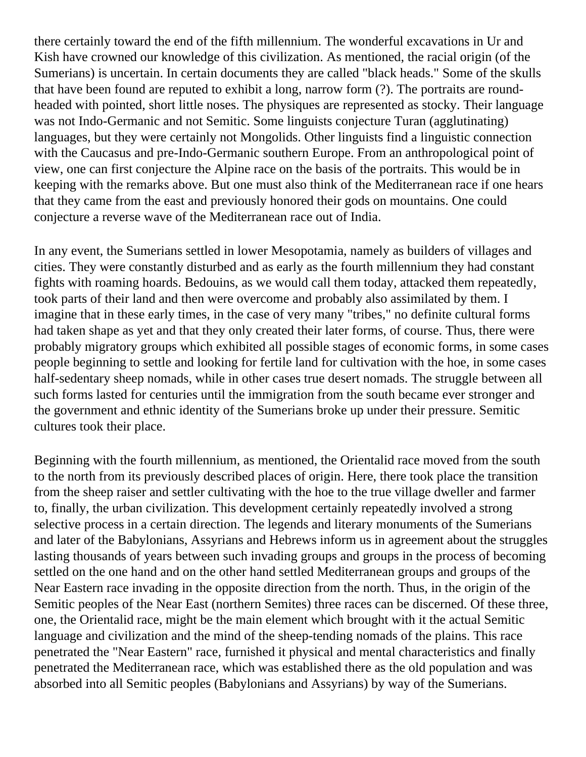there certainly toward the end of the fifth millennium. The wonderful excavations in Ur and Kish have crowned our knowledge of this civilization. As mentioned, the racial origin (of the Sumerians) is uncertain. In certain documents they are called "black heads." Some of the skulls that have been found are reputed to exhibit a long, narrow form (?). The portraits are roundheaded with pointed, short little noses. The physiques are represented as stocky. Their language was not Indo-Germanic and not Semitic. Some linguists conjecture Turan (agglutinating) languages, but they were certainly not Mongolids. Other linguists find a linguistic connection with the Caucasus and pre-Indo-Germanic southern Europe. From an anthropological point of view, one can first conjecture the Alpine race on the basis of the portraits. This would be in keeping with the remarks above. But one must also think of the Mediterranean race if one hears that they came from the east and previously honored their gods on mountains. One could conjecture a reverse wave of the Mediterranean race out of India.

In any event, the Sumerians settled in lower Mesopotamia, namely as builders of villages and cities. They were constantly disturbed and as early as the fourth millennium they had constant fights with roaming hoards. Bedouins, as we would call them today, attacked them repeatedly, took parts of their land and then were overcome and probably also assimilated by them. I imagine that in these early times, in the case of very many "tribes," no definite cultural forms had taken shape as yet and that they only created their later forms, of course. Thus, there were probably migratory groups which exhibited all possible stages of economic forms, in some cases people beginning to settle and looking for fertile land for cultivation with the hoe, in some cases half-sedentary sheep nomads, while in other cases true desert nomads. The struggle between all such forms lasted for centuries until the immigration from the south became ever stronger and the government and ethnic identity of the Sumerians broke up under their pressure. Semitic cultures took their place.

Beginning with the fourth millennium, as mentioned, the Orientalid race moved from the south to the north from its previously described places of origin. Here, there took place the transition from the sheep raiser and settler cultivating with the hoe to the true village dweller and farmer to, finally, the urban civilization. This development certainly repeatedly involved a strong selective process in a certain direction. The legends and literary monuments of the Sumerians and later of the Babylonians, Assyrians and Hebrews inform us in agreement about the struggles lasting thousands of years between such invading groups and groups in the process of becoming settled on the one hand and on the other hand settled Mediterranean groups and groups of the Near Eastern race invading in the opposite direction from the north. Thus, in the origin of the Semitic peoples of the Near East (northern Semites) three races can be discerned. Of these three, one, the Orientalid race, might be the main element which brought with it the actual Semitic language and civilization and the mind of the sheep-tending nomads of the plains. This race penetrated the "Near Eastern" race, furnished it physical and mental characteristics and finally penetrated the Mediterranean race, which was established there as the old population and was absorbed into all Semitic peoples (Babylonians and Assyrians) by way of the Sumerians.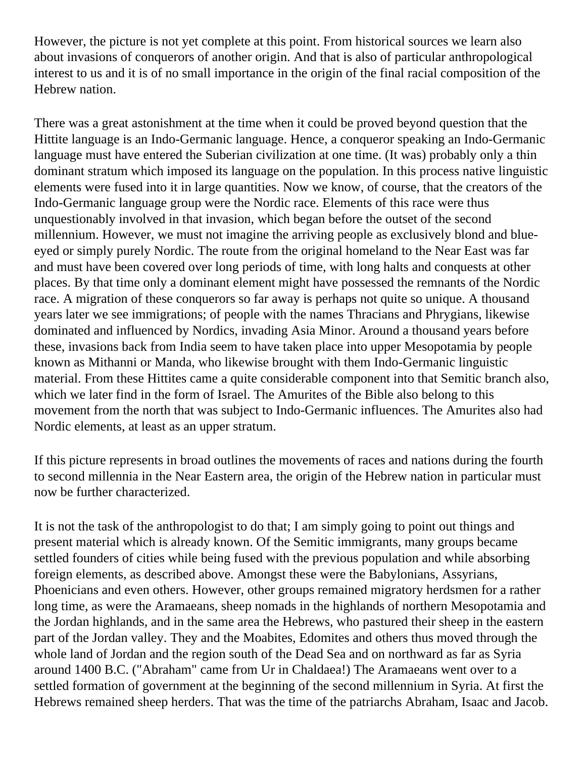However, the picture is not yet complete at this point. From historical sources we learn also about invasions of conquerors of another origin. And that is also of particular anthropological interest to us and it is of no small importance in the origin of the final racial composition of the Hebrew nation.

There was a great astonishment at the time when it could be proved beyond question that the Hittite language is an Indo-Germanic language. Hence, a conqueror speaking an Indo-Germanic language must have entered the Suberian civilization at one time. (It was) probably only a thin dominant stratum which imposed its language on the population. In this process native linguistic elements were fused into it in large quantities. Now we know, of course, that the creators of the Indo-Germanic language group were the Nordic race. Elements of this race were thus unquestionably involved in that invasion, which began before the outset of the second millennium. However, we must not imagine the arriving people as exclusively blond and blueeyed or simply purely Nordic. The route from the original homeland to the Near East was far and must have been covered over long periods of time, with long halts and conquests at other places. By that time only a dominant element might have possessed the remnants of the Nordic race. A migration of these conquerors so far away is perhaps not quite so unique. A thousand years later we see immigrations; of people with the names Thracians and Phrygians, likewise dominated and influenced by Nordics, invading Asia Minor. Around a thousand years before these, invasions back from India seem to have taken place into upper Mesopotamia by people known as Mithanni or Manda, who likewise brought with them Indo-Germanic linguistic material. From these Hittites came a quite considerable component into that Semitic branch also, which we later find in the form of Israel. The Amurites of the Bible also belong to this movement from the north that was subject to Indo-Germanic influences. The Amurites also had Nordic elements, at least as an upper stratum.

If this picture represents in broad outlines the movements of races and nations during the fourth to second millennia in the Near Eastern area, the origin of the Hebrew nation in particular must now be further characterized.

It is not the task of the anthropologist to do that; I am simply going to point out things and present material which is already known. Of the Semitic immigrants, many groups became settled founders of cities while being fused with the previous population and while absorbing foreign elements, as described above. Amongst these were the Babylonians, Assyrians, Phoenicians and even others. However, other groups remained migratory herdsmen for a rather long time, as were the Aramaeans, sheep nomads in the highlands of northern Mesopotamia and the Jordan highlands, and in the same area the Hebrews, who pastured their sheep in the eastern part of the Jordan valley. They and the Moabites, Edomites and others thus moved through the whole land of Jordan and the region south of the Dead Sea and on northward as far as Syria around 1400 B.C. ("Abraham" came from Ur in Chaldaea!) The Aramaeans went over to a settled formation of government at the beginning of the second millennium in Syria. At first the Hebrews remained sheep herders. That was the time of the patriarchs Abraham, Isaac and Jacob.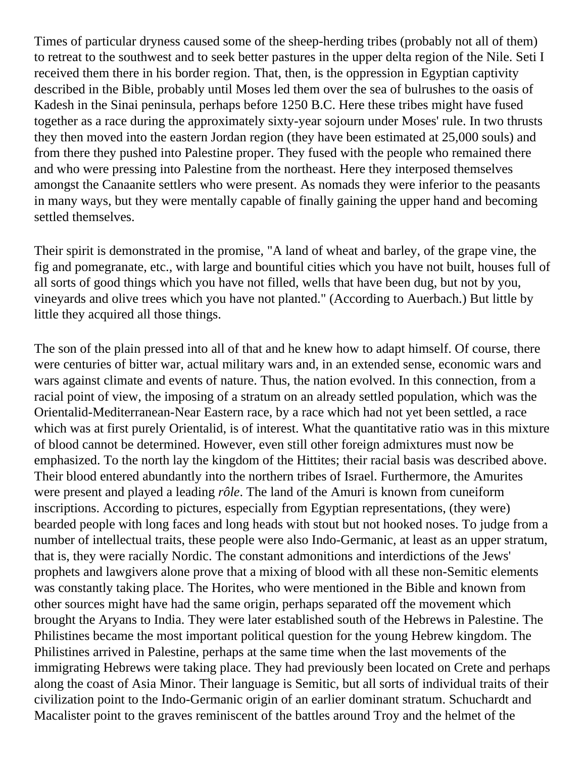Times of particular dryness caused some of the sheep-herding tribes (probably not all of them) to retreat to the southwest and to seek better pastures in the upper delta region of the Nile. Seti I received them there in his border region. That, then, is the oppression in Egyptian captivity described in the Bible, probably until Moses led them over the sea of bulrushes to the oasis of Kadesh in the Sinai peninsula, perhaps before 1250 B.C. Here these tribes might have fused together as a race during the approximately sixty-year sojourn under Moses' rule. In two thrusts they then moved into the eastern Jordan region (they have been estimated at 25,000 souls) and from there they pushed into Palestine proper. They fused with the people who remained there and who were pressing into Palestine from the northeast. Here they interposed themselves amongst the Canaanite settlers who were present. As nomads they were inferior to the peasants in many ways, but they were mentally capable of finally gaining the upper hand and becoming settled themselves.

Their spirit is demonstrated in the promise, "A land of wheat and barley, of the grape vine, the fig and pomegranate, etc., with large and bountiful cities which you have not built, houses full of all sorts of good things which you have not filled, wells that have been dug, but not by you, vineyards and olive trees which you have not planted." (According to Auerbach.) But little by little they acquired all those things.

The son of the plain pressed into all of that and he knew how to adapt himself. Of course, there were centuries of bitter war, actual military wars and, in an extended sense, economic wars and wars against climate and events of nature. Thus, the nation evolved. In this connection, from a racial point of view, the imposing of a stratum on an already settled population, which was the Orientalid-Mediterranean-Near Eastern race, by a race which had not yet been settled, a race which was at first purely Orientalid, is of interest. What the quantitative ratio was in this mixture of blood cannot be determined. However, even still other foreign admixtures must now be emphasized. To the north lay the kingdom of the Hittites; their racial basis was described above. Their blood entered abundantly into the northern tribes of Israel. Furthermore, the Amurites were present and played a leading *rôle*. The land of the Amuri is known from cuneiform inscriptions. According to pictures, especially from Egyptian representations, (they were) bearded people with long faces and long heads with stout but not hooked noses. To judge from a number of intellectual traits, these people were also Indo-Germanic, at least as an upper stratum, that is, they were racially Nordic. The constant admonitions and interdictions of the Jews' prophets and lawgivers alone prove that a mixing of blood with all these non-Semitic elements was constantly taking place. The Horites, who were mentioned in the Bible and known from other sources might have had the same origin, perhaps separated off the movement which brought the Aryans to India. They were later established south of the Hebrews in Palestine. The Philistines became the most important political question for the young Hebrew kingdom. The Philistines arrived in Palestine, perhaps at the same time when the last movements of the immigrating Hebrews were taking place. They had previously been located on Crete and perhaps along the coast of Asia Minor. Their language is Semitic, but all sorts of individual traits of their civilization point to the Indo-Germanic origin of an earlier dominant stratum. Schuchardt and Macalister point to the graves reminiscent of the battles around Troy and the helmet of the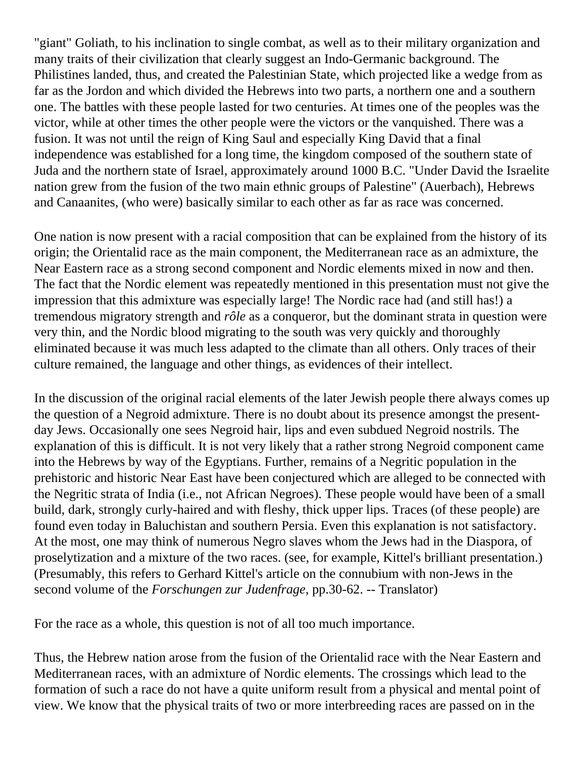"giant" Goliath, to his inclination to single combat, as well as to their military organization and many traits of their civilization that clearly suggest an Indo-Germanic background. The Philistines landed, thus, and created the Palestinian State, which projected like a wedge from as far as the Jordon and which divided the Hebrews into two parts, a northern one and a southern one. The battles with these people lasted for two centuries. At times one of the peoples was the victor, while at other times the other people were the victors or the vanquished. There was a fusion. It was not until the reign of King Saul and especially King David that a final independence was established for a long time, the kingdom composed of the southern state of Juda and the northern state of Israel, approximately around 1000 B.C. "Under David the Israelite nation grew from the fusion of the two main ethnic groups of Palestine" (Auerbach), Hebrews and Canaanites, (who were) basically similar to each other as far as race was concerned.

One nation is now present with a racial composition that can be explained from the history of its origin; the Orientalid race as the main component, the Mediterranean race as an admixture, the Near Eastern race as a strong second component and Nordic elements mixed in now and then. The fact that the Nordic element was repeatedly mentioned in this presentation must not give the impression that this admixture was especially large! The Nordic race had (and still has!) a tremendous migratory strength and *rôle* as a conqueror, but the dominant strata in question were very thin, and the Nordic blood migrating to the south was very quickly and thoroughly eliminated because it was much less adapted to the climate than all others. Only traces of their culture remained, the language and other things, as evidences of their intellect.

In the discussion of the original racial elements of the later Jewish people there always comes up the question of a Negroid admixture. There is no doubt about its presence amongst the presentday Jews. Occasionally one sees Negroid hair, lips and even subdued Negroid nostrils. The explanation of this is difficult. It is not very likely that a rather strong Negroid component came into the Hebrews by way of the Egyptians. Further, remains of a Negritic population in the prehistoric and historic Near East have been conjectured which are alleged to be connected with the Negritic strata of India (i.e., not African Negroes). These people would have been of a small build, dark, strongly curly-haired and with fleshy, thick upper lips. Traces (of these people) are found even today in Baluchistan and southern Persia. Even this explanation is not satisfactory. At the most, one may think of numerous Negro slaves whom the Jews had in the Diaspora, of proselytization and a mixture of the two races. (see, for example, Kittel's brilliant presentation.) (Presumably, this refers to Gerhard Kittel's article on the connubium with non-Jews in the second volume of the *Forschungen zur Judenfrage*, pp.30-62. -- Translator)

For the race as a whole, this question is not of all too much importance.

Thus, the Hebrew nation arose from the fusion of the Orientalid race with the Near Eastern and Mediterranean races, with an admixture of Nordic elements. The crossings which lead to the formation of such a race do not have a quite uniform result from a physical and mental point of view. We know that the physical traits of two or more interbreeding races are passed on in the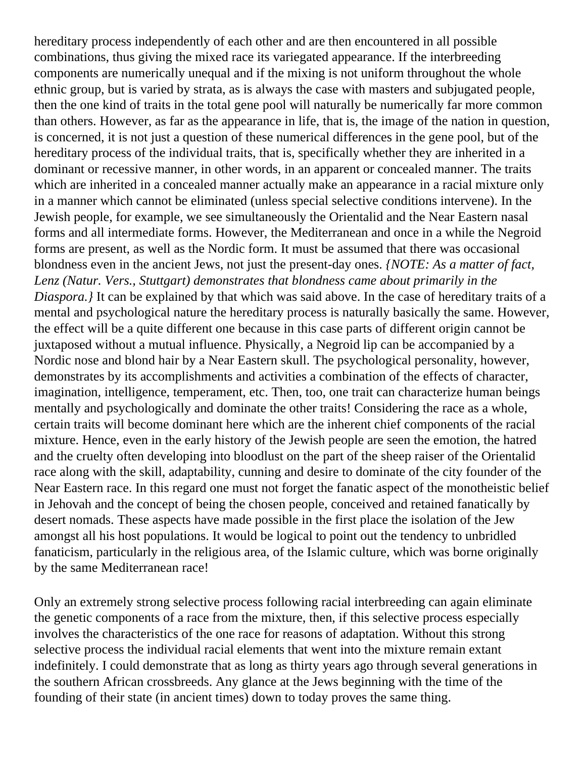hereditary process independently of each other and are then encountered in all possible combinations, thus giving the mixed race its variegated appearance. If the interbreeding components are numerically unequal and if the mixing is not uniform throughout the whole ethnic group, but is varied by strata, as is always the case with masters and subjugated people, then the one kind of traits in the total gene pool will naturally be numerically far more common than others. However, as far as the appearance in life, that is, the image of the nation in question, is concerned, it is not just a question of these numerical differences in the gene pool, but of the hereditary process of the individual traits, that is, specifically whether they are inherited in a dominant or recessive manner, in other words, in an apparent or concealed manner. The traits which are inherited in a concealed manner actually make an appearance in a racial mixture only in a manner which cannot be eliminated (unless special selective conditions intervene). In the Jewish people, for example, we see simultaneously the Orientalid and the Near Eastern nasal forms and all intermediate forms. However, the Mediterranean and once in a while the Negroid forms are present, as well as the Nordic form. It must be assumed that there was occasional blondness even in the ancient Jews, not just the present-day ones. *{NOTE: As a matter of fact, Lenz (Natur. Vers., Stuttgart) demonstrates that blondness came about primarily in the Diaspora.}* It can be explained by that which was said above. In the case of hereditary traits of a mental and psychological nature the hereditary process is naturally basically the same. However, the effect will be a quite different one because in this case parts of different origin cannot be juxtaposed without a mutual influence. Physically, a Negroid lip can be accompanied by a Nordic nose and blond hair by a Near Eastern skull. The psychological personality, however, demonstrates by its accomplishments and activities a combination of the effects of character, imagination, intelligence, temperament, etc. Then, too, one trait can characterize human beings mentally and psychologically and dominate the other traits! Considering the race as a whole, certain traits will become dominant here which are the inherent chief components of the racial mixture. Hence, even in the early history of the Jewish people are seen the emotion, the hatred and the cruelty often developing into bloodlust on the part of the sheep raiser of the Orientalid race along with the skill, adaptability, cunning and desire to dominate of the city founder of the Near Eastern race. In this regard one must not forget the fanatic aspect of the monotheistic belief in Jehovah and the concept of being the chosen people, conceived and retained fanatically by desert nomads. These aspects have made possible in the first place the isolation of the Jew amongst all his host populations. It would be logical to point out the tendency to unbridled fanaticism, particularly in the religious area, of the Islamic culture, which was borne originally by the same Mediterranean race!

Only an extremely strong selective process following racial interbreeding can again eliminate the genetic components of a race from the mixture, then, if this selective process especially involves the characteristics of the one race for reasons of adaptation. Without this strong selective process the individual racial elements that went into the mixture remain extant indefinitely. I could demonstrate that as long as thirty years ago through several generations in the southern African crossbreeds. Any glance at the Jews beginning with the time of the founding of their state (in ancient times) down to today proves the same thing.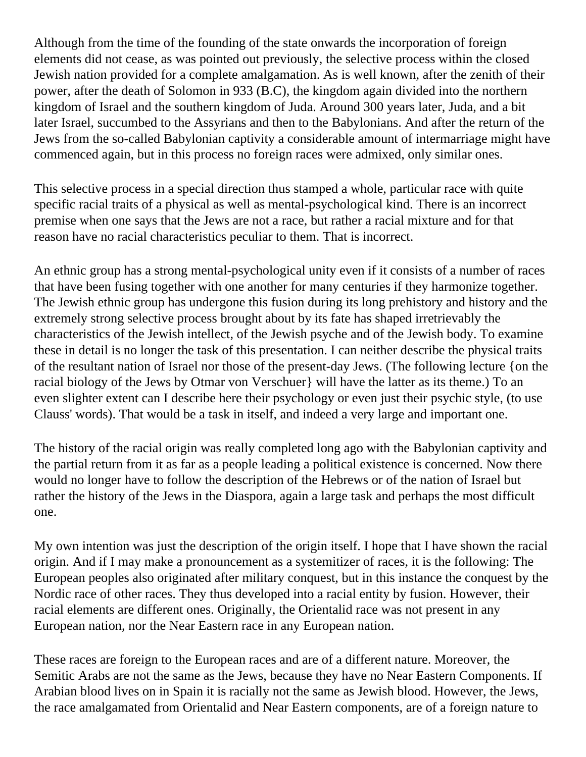Although from the time of the founding of the state onwards the incorporation of foreign elements did not cease, as was pointed out previously, the selective process within the closed Jewish nation provided for a complete amalgamation. As is well known, after the zenith of their power, after the death of Solomon in 933 (B.C), the kingdom again divided into the northern kingdom of Israel and the southern kingdom of Juda. Around 300 years later, Juda, and a bit later Israel, succumbed to the Assyrians and then to the Babylonians. And after the return of the Jews from the so-called Babylonian captivity a considerable amount of intermarriage might have commenced again, but in this process no foreign races were admixed, only similar ones.

This selective process in a special direction thus stamped a whole, particular race with quite specific racial traits of a physical as well as mental-psychological kind. There is an incorrect premise when one says that the Jews are not a race, but rather a racial mixture and for that reason have no racial characteristics peculiar to them. That is incorrect.

An ethnic group has a strong mental-psychological unity even if it consists of a number of races that have been fusing together with one another for many centuries if they harmonize together. The Jewish ethnic group has undergone this fusion during its long prehistory and history and the extremely strong selective process brought about by its fate has shaped irretrievably the characteristics of the Jewish intellect, of the Jewish psyche and of the Jewish body. To examine these in detail is no longer the task of this presentation. I can neither describe the physical traits of the resultant nation of Israel nor those of the present-day Jews. (The following lecture {on the racial biology of the Jews by Otmar von Verschuer} will have the latter as its theme.) To an even slighter extent can I describe here their psychology or even just their psychic style, (to use Clauss' words). That would be a task in itself, and indeed a very large and important one.

The history of the racial origin was really completed long ago with the Babylonian captivity and the partial return from it as far as a people leading a political existence is concerned. Now there would no longer have to follow the description of the Hebrews or of the nation of Israel but rather the history of the Jews in the Diaspora, again a large task and perhaps the most difficult one.

My own intention was just the description of the origin itself. I hope that I have shown the racial origin. And if I may make a pronouncement as a systemitizer of races, it is the following: The European peoples also originated after military conquest, but in this instance the conquest by the Nordic race of other races. They thus developed into a racial entity by fusion. However, their racial elements are different ones. Originally, the Orientalid race was not present in any European nation, nor the Near Eastern race in any European nation.

These races are foreign to the European races and are of a different nature. Moreover, the Semitic Arabs are not the same as the Jews, because they have no Near Eastern Components. If Arabian blood lives on in Spain it is racially not the same as Jewish blood. However, the Jews, the race amalgamated from Orientalid and Near Eastern components, are of a foreign nature to